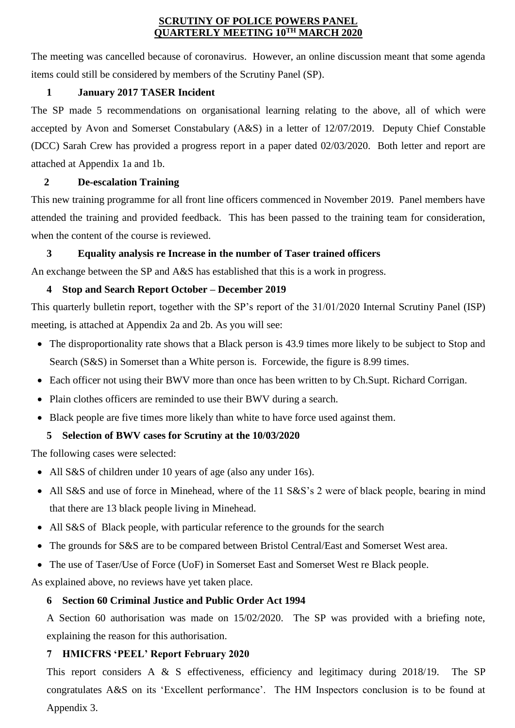#### **SCRUTINY OF POLICE POWERS PANEL QUARTERLY MEETING 10TH MARCH 2020**

The meeting was cancelled because of coronavirus. However, an online discussion meant that some agenda items could still be considered by members of the Scrutiny Panel (SP).

### **1 January 2017 TASER Incident**

The SP made 5 recommendations on organisational learning relating to the above, all of which were accepted by Avon and Somerset Constabulary (A&S) in a letter of 12/07/2019. Deputy Chief Constable (DCC) Sarah Crew has provided a progress report in a paper dated 02/03/2020. Both letter and report are attached at Appendix 1a and 1b.

## **2 De-escalation Training**

This new training programme for all front line officers commenced in November 2019. Panel members have attended the training and provided feedback. This has been passed to the training team for consideration, when the content of the course is reviewed.

## **3 Equality analysis re Increase in the number of Taser trained officers**

An exchange between the SP and A&S has established that this is a work in progress.

## **4 Stop and Search Report October – December 2019**

This quarterly bulletin report, together with the SP's report of the 31/01/2020 Internal Scrutiny Panel (ISP) meeting, is attached at Appendix 2a and 2b. As you will see:

- The disproportionality rate shows that a Black person is 43.9 times more likely to be subject to Stop and Search (S&S) in Somerset than a White person is. Forcewide, the figure is 8.99 times.
- Each officer not using their BWV more than once has been written to by Ch.Supt. Richard Corrigan.
- Plain clothes officers are reminded to use their BWV during a search.
- Black people are five times more likely than white to have force used against them.

# **5 Selection of BWV cases for Scrutiny at the 10/03/2020**

The following cases were selected:

- All S&S of children under 10 years of age (also any under 16s).
- All S&S and use of force in Minehead, where of the 11 S&S's 2 were of black people, bearing in mind that there are 13 black people living in Minehead.
- All S&S of Black people, with particular reference to the grounds for the search
- The grounds for S&S are to be compared between Bristol Central/East and Somerset West area.
- The use of Taser/Use of Force (UoF) in Somerset East and Somerset West re Black people.

As explained above, no reviews have yet taken place.

## **6 Section 60 Criminal Justice and Public Order Act 1994**

A Section 60 authorisation was made on 15/02/2020. The SP was provided with a briefing note, explaining the reason for this authorisation.

# **7 HMICFRS 'PEEL' Report February 2020**

This report considers A & S effectiveness, efficiency and legitimacy during 2018/19. The SP congratulates A&S on its 'Excellent performance'. The HM Inspectors conclusion is to be found at Appendix 3.